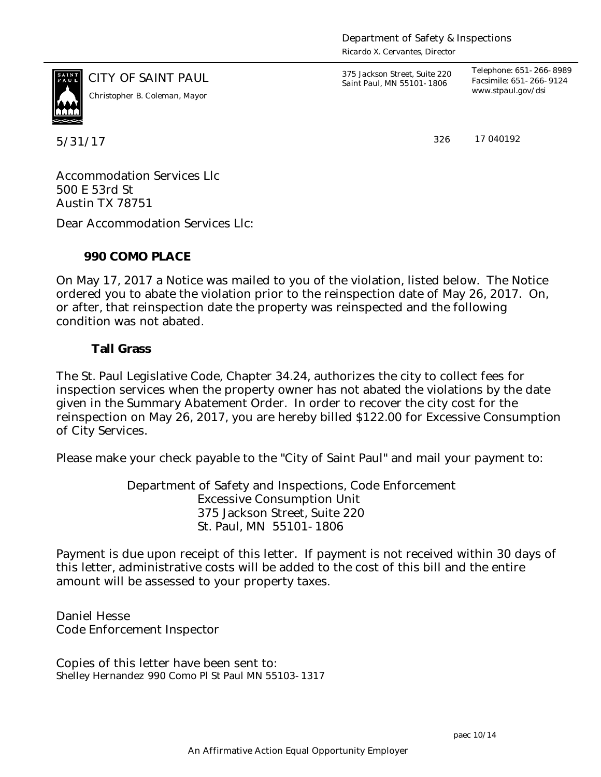*Ricardo X. Cervantes, Director*



CITY OF SAINT PAUL *375 Jackson Street, Suite 220 Saint Paul, MN 55101-1806 www.stpaul.gov/dsi Christopher B. Coleman, Mayor*

*Telephone: 651-266-8989 Facsimile: 651-266-9124*

5/31/17 326

17 040192

Accommodation Services Llc 500 E 53rd St Austin TX 78751

Dear Accommodation Services Llc:

**990 COMO PLACE**

On May 17, 2017 a Notice was mailed to you of the violation, listed below. The Notice ordered you to abate the violation prior to the reinspection date of May 26, 2017. On, or after, that reinspection date the property was reinspected and the following condition was not abated.

**Tall Grass**

The St. Paul Legislative Code, Chapter 34.24, authorizes the city to collect fees for inspection services when the property owner has not abated the violations by the date given in the Summary Abatement Order. In order to recover the city cost for the reinspection on May 26, 2017, you are hereby billed \$122.00 for Excessive Consumption of City Services.

Please make your check payable to the "City of Saint Paul" and mail your payment to:

Department of Safety and Inspections, Code Enforcement Excessive Consumption Unit 375 Jackson Street, Suite 220 St. Paul, MN 55101-1806

Payment is due upon receipt of this letter. If payment is not received within 30 days of this letter, administrative costs will be added to the cost of this bill and the entire amount will be assessed to your property taxes.

Daniel Hesse Code Enforcement Inspector

Copies of this letter have been sent to: Shelley Hernandez 990 Como Pl St Paul MN 55103-1317